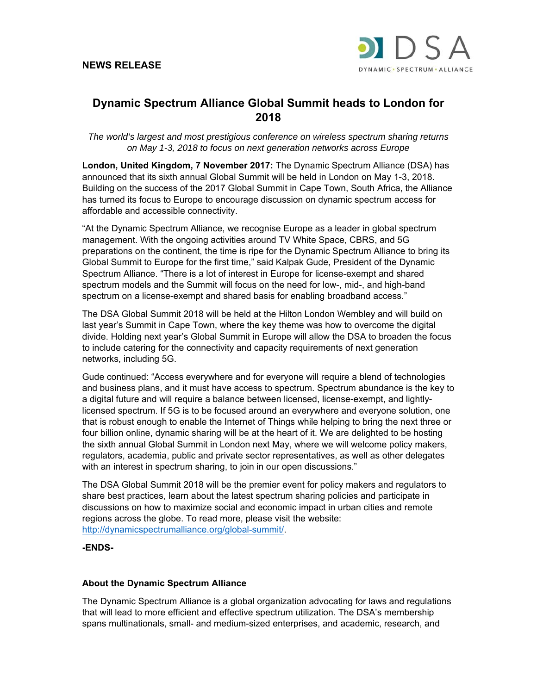

## **Dynamic Spectrum Alliance Global Summit heads to London for 2018**

*The world's largest and most prestigious conference on wireless spectrum sharing returns on May 1-3, 2018 to focus on next generation networks across Europe* 

**London, United Kingdom, 7 November 2017:** The Dynamic Spectrum Alliance (DSA) has announced that its sixth annual Global Summit will be held in London on May 1-3, 2018. Building on the success of the 2017 Global Summit in Cape Town, South Africa, the Alliance has turned its focus to Europe to encourage discussion on dynamic spectrum access for affordable and accessible connectivity.

"At the Dynamic Spectrum Alliance, we recognise Europe as a leader in global spectrum management. With the ongoing activities around TV White Space, CBRS, and 5G preparations on the continent, the time is ripe for the Dynamic Spectrum Alliance to bring its Global Summit to Europe for the first time," said Kalpak Gude, President of the Dynamic Spectrum Alliance. "There is a lot of interest in Europe for license-exempt and shared spectrum models and the Summit will focus on the need for low-, mid-, and high-band spectrum on a license-exempt and shared basis for enabling broadband access."

The DSA Global Summit 2018 will be held at the Hilton London Wembley and will build on last year's Summit in Cape Town, where the key theme was how to overcome the digital divide. Holding next year's Global Summit in Europe will allow the DSA to broaden the focus to include catering for the connectivity and capacity requirements of next generation networks, including 5G.

Gude continued: "Access everywhere and for everyone will require a blend of technologies and business plans, and it must have access to spectrum. Spectrum abundance is the key to a digital future and will require a balance between licensed, license-exempt, and lightlylicensed spectrum. If 5G is to be focused around an everywhere and everyone solution, one that is robust enough to enable the Internet of Things while helping to bring the next three or four billion online, dynamic sharing will be at the heart of it. We are delighted to be hosting the sixth annual Global Summit in London next May, where we will welcome policy makers, regulators, academia, public and private sector representatives, as well as other delegates with an interest in spectrum sharing, to join in our open discussions."

The DSA Global Summit 2018 will be the premier event for policy makers and regulators to share best practices, learn about the latest spectrum sharing policies and participate in discussions on how to maximize social and economic impact in urban cities and remote regions across the globe. To read more, please visit the website: http://dynamicspectrumalliance.org/global-summit/.

**-ENDS-**

## **About the Dynamic Spectrum Alliance**

The Dynamic Spectrum Alliance is a global organization advocating for laws and regulations that will lead to more efficient and effective spectrum utilization. The DSA's membership spans multinationals, small- and medium-sized enterprises, and academic, research, and